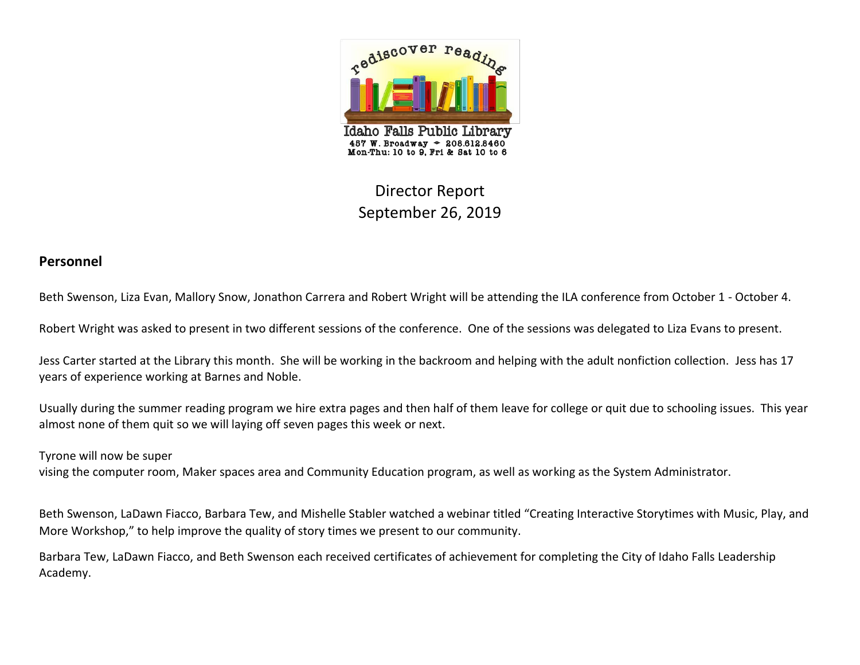

## Director Report September 26, 2019

## **Personnel**

Beth Swenson, Liza Evan, Mallory Snow, Jonathon Carrera and Robert Wright will be attending the ILA conference from October 1 - October 4.

Robert Wright was asked to present in two different sessions of the conference. One of the sessions was delegated to Liza Evans to present.

Jess Carter started at the Library this month. She will be working in the backroom and helping with the adult nonfiction collection. Jess has 17 years of experience working at Barnes and Noble.

Usually during the summer reading program we hire extra pages and then half of them leave for college or quit due to schooling issues. This year almost none of them quit so we will laying off seven pages this week or next.

Tyrone will now be super

vising the computer room, Maker spaces area and Community Education program, as well as working as the System Administrator.

Beth Swenson, LaDawn Fiacco, Barbara Tew, and Mishelle Stabler watched a webinar titled "Creating Interactive Storytimes with Music, Play, and More Workshop," to help improve the quality of story times we present to our community.

Barbara Tew, LaDawn Fiacco, and Beth Swenson each received certificates of achievement for completing the City of Idaho Falls Leadership Academy.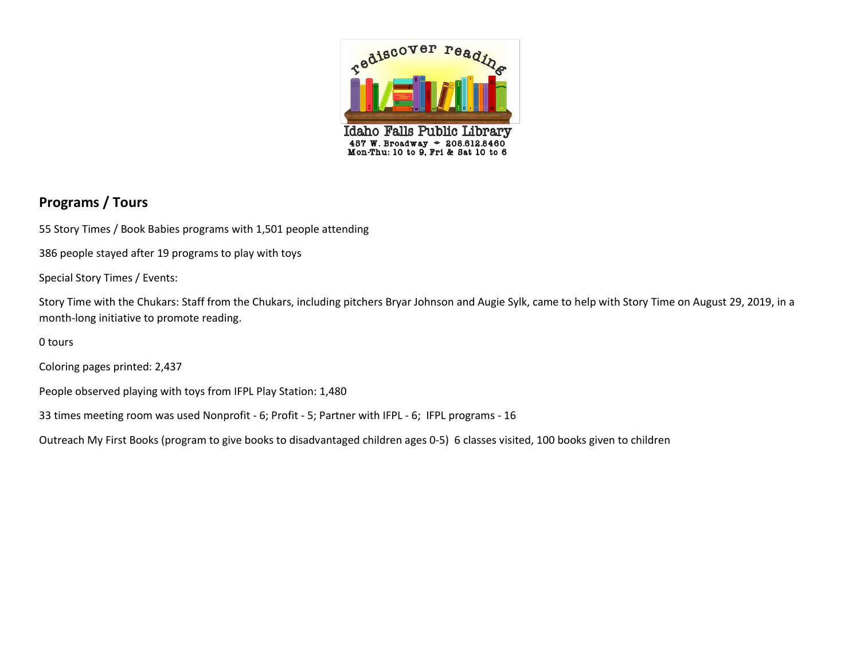

## **Programs / Tours**

55 Story Times / Book Babies programs with 1,501 people attending

386 people stayed after 19 programs to play with toys

Special Story Times / Events:

Story Time with the Chukars: Staff from the Chukars, including pitchers Bryar Johnson and Augie Sylk, came to help with Story Time on August 29, 2019, in a month-long initiative to promote reading.

0 tours

Coloring pages printed: 2,437

People observed playing with toys from IFPL Play Station: 1,480

33 times meeting room was used Nonprofit - 6; Profit - 5; Partner with IFPL - 6; IFPL programs - 16

Outreach My First Books (program to give books to disadvantaged children ages 0-5) 6 classes visited, 100 books given to children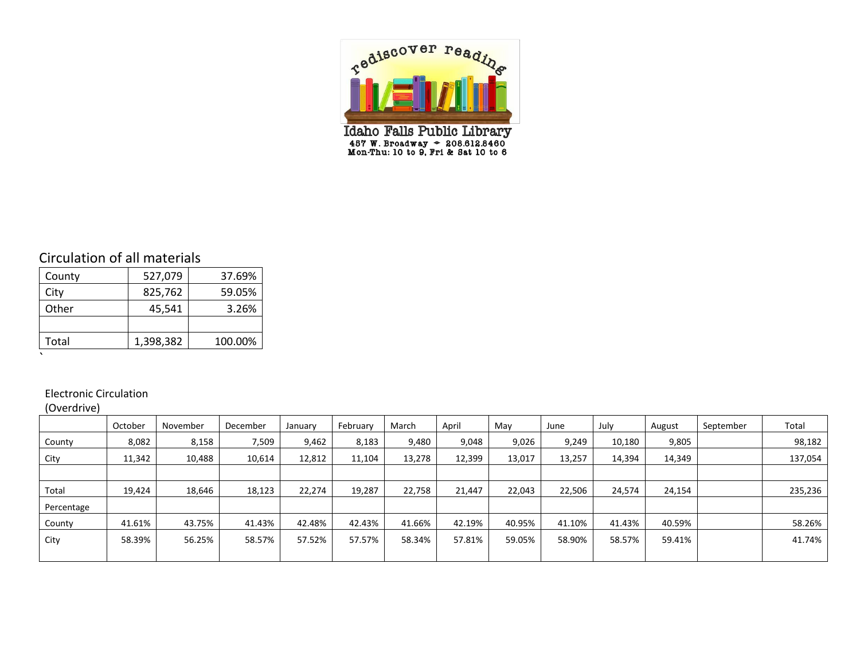

Circulation of all materials

| County | 527,079   | 37.69%  |
|--------|-----------|---------|
| City   | 825,762   | 59.05%  |
| Other  | 45,541    | 3.26%   |
|        |           |         |
| Total  | 1,398,382 | 100.00% |
|        |           |         |

## Electronic Circulation

(Overdrive)

|            | October | November | December | January | February | March  | April  | May    | June   | July   | August | September | Total   |
|------------|---------|----------|----------|---------|----------|--------|--------|--------|--------|--------|--------|-----------|---------|
| County     | 8,082   | 8,158    | 7,509    | 9,462   | 8,183    | 9,480  | 9,048  | 9,026  | 9,249  | 10,180 | 9,805  |           | 98,182  |
| City       | 11,342  | 10,488   | 10,614   | 12,812  | 11,104   | 13,278 | 12,399 | 13,017 | 13,257 | 14,394 | 14,349 |           | 137,054 |
|            |         |          |          |         |          |        |        |        |        |        |        |           |         |
| Total      | 19,424  | 18,646   | 18,123   | 22,274  | 19,287   | 22,758 | 21,447 | 22,043 | 22,506 | 24,574 | 24,154 |           | 235,236 |
| Percentage |         |          |          |         |          |        |        |        |        |        |        |           |         |
| County     | 41.61%  | 43.75%   | 41.43%   | 42.48%  | 42.43%   | 41.66% | 42.19% | 40.95% | 41.10% | 41.43% | 40.59% |           | 58.26%  |
| City       | 58.39%  | 56.25%   | 58.57%   | 57.52%  | 57.57%   | 58.34% | 57.81% | 59.05% | 58.90% | 58.57% | 59.41% |           | 41.74%  |
|            |         |          |          |         |          |        |        |        |        |        |        |           |         |